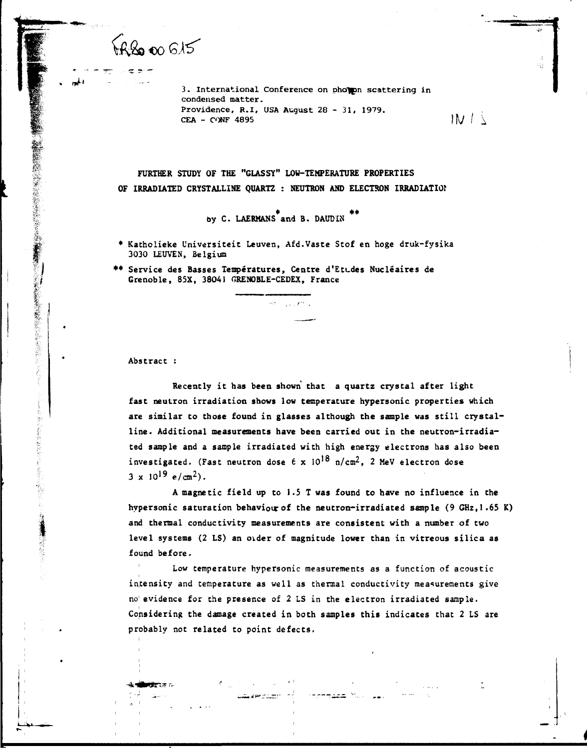$fR$ 8000 $6/5$ 

**3. International Conference on pho^pn scattering in condensed matter. Providence, R.I, USA August 28-31 , 1979. CEA - CONF 4895 )** *}\J I* **\** 

**FURTHER STUDY OF THE "GLASSY" LOW-TEMPERATURE PROPERTIES OF IRRADIATED CRYSTALLINE QUARTZ : NEUTRON AND ELECTRON IRRADIATIOt** 

# *\* \*\**  **by C. LAERMANS and B. DAUDIN**

**\* Katholieke Universiteit Leuven, Afd.Vaste Stof en hoge druk-fysika 3030 LEUVEN, Belgium** 

 $\langle \psi \psi \rangle = \sqrt{1 + \sum_{i=1}^n \psi_i^2}$ 

**\*\* Service des Basses Températures, Centre d'Ett-des Nucléaires de Grenoble, 85X, 38041 GRENOBLE-CEDEX, France** 

**Abstract :** 

など、保健の経験の経験には、彼女の主張には、彼女の主張を経験することによって、そのことは、彼女の主張には、彼女の主張には、彼女の主張には、彼女の主張には、彼女の主張には、彼女の主張には、彼女の主張には

する 旅行を気軽に防ぐ行る

**-A** *mmti::'* **r.** 

Recently it has been shown that a quartz crystal after light **fast neutron irradiation shows low temperature hypersonic properties which**  are similar to those found in glasses although the sample was still crystal**line . Additional measurements have been carried out in the neutron-irradiated sample and a sample irradiated with high energy electrons has also been investigated. (Fast neutron dose 6 x 10 <sup>8</sup> n/cm<sup>2</sup> , 2 MeV electron dose**   $3 \times 10^{19}$  e/cm<sup>2</sup>).

**A magnetic field up to 1.5 T was found to have no influence in the hypersonic saturation behaviour of the neutron-irradiated sample (9 GHz,1.65 K) and thermal conductivity measurements are consistent with a number of two**  level systems (2 LS) an order of magnitude lower than in vitreous silica as **found before.** 

**Low temperature hypersonic measurements as a function of acoustic intensity and temperature as well as thermal conductivity measurements give no evidence for the presence of** *2* **LS in the electron irradiated sample. Considering the damage created in both samples this indicates that 2 LS are probably not related to point defects.** 

n<del>chnaad</del> No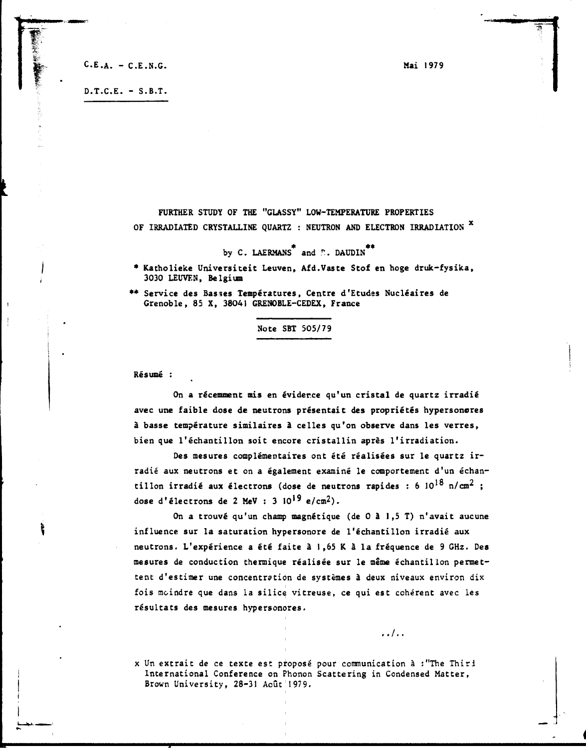**C.E.A. - C.E.N.G. Mai 197 9** 

**D.T.C.E . - S.B.T .** 

**FURTHER STUDY OF THE "GLASSY" LOW-TEMPERATURE PROPERTIES**  OF IRRADIATED CRYSTALLINE QUARTZ : NEUTRON AND ELECTRON IRRADIATION  $\degree$ 

**by C. LAERMANS and** *V.***. DAUDIN** 

**\* Katholieke Universiteit Leuven, Afd.Vaste Stof en hoge druk-fysika, 3030 LEUVEN, Belgium** 

**\*\* Service des Basses Températures, Centre d'Etudes Nucléaires de Grenoble, 85 X, 38041 GRENOBLE-CEDEX, France** 

**Note SBT 505/79** 

**Résumé :** 

On a récemment mis en éviderce qu'un cristal de quartz irradié avec une faible dose de neutrons présentait des propriétés hypersoncres **à basse température similaire s à celle s qu'on observe dans le s verres, bien que l'échantillon soit encore cristalli n après l'irradiation.** 

Des mesures complémentaires ont été réalisées sur le quartz irradié aux neutrons et on a également examiné le comportement d'un échan**tillon irradié aux électrons (dose de neutrons rapides : 6 10<sup>10</sup> n/cm<sup>2</sup> ; dose d'électrons de 2 MeV : 3 I0 <sup>1</sup> <sup>9</sup> e/cm2).** 

**On a trouvé qu'un champ magnétique (de 0 â 1,5 T) n'avait aucune influence sur la saturation hypersonore de l'échantillon irradié aux neutrons. L'expérience a été fait e à I,65 K à l a fréquence de 9 GHz. Des mesures de conduction thermique réalisé e sur le même échantillon permettent d'estimer une concentration de systèmes à deux niveaux environ dix**  fois moindre que dans la silice vitreuse, ce qui est cohérent avec les **résultats des mesures hypersonores.** 

**x Un extrait de ce texte est proposé pour communication à :"The Third International Conference on Phonon Scattering in Condensed Matter, Brown University, 28-31 Août'I 979.** 

 $\ldots$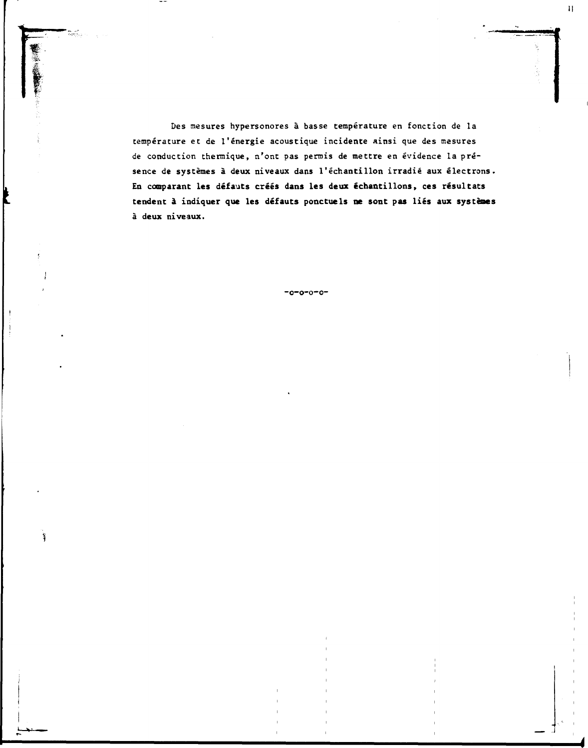Des mesures hypersonores à basse température en fonction de la température et de l'énergie acoustique incidente ainsi que des mesures de conduction thermique, n'ont pas permis de mettre en évidence la présence de systèmes à deux niveaux dans l'échantillon irradié aux électrons. En comparant les défauts créés dans les deux échantillons, ces résultats tendent à indiquer que les défauts ponctuels ne sont pas liés aux systèmes **à deux niveaux.** 

 $\mathbf{H}$ 

 $-0-0-0-0-$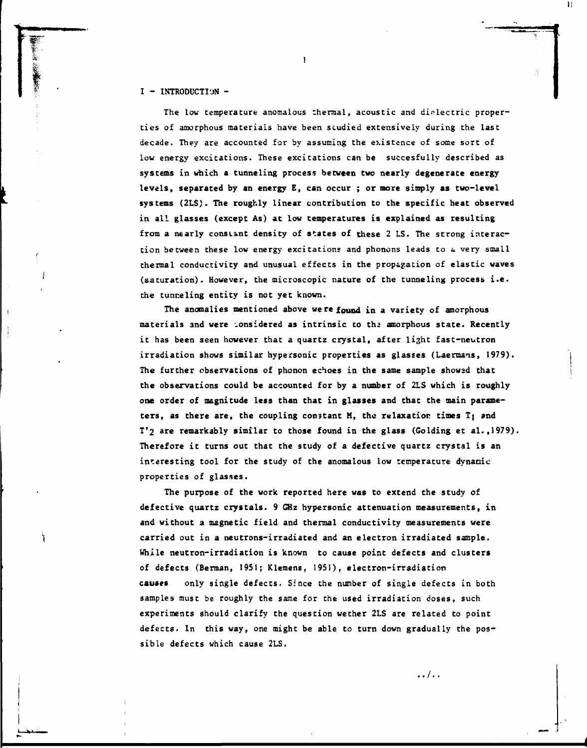## **I - INTRODUCTION -**

**The low temperature anomalous thermal, acoustic and dielectric properties of amorphous materials have been studied extensively during the last decade. They are accounted for by assuming the existence of some sort of low energy excitations. These excitations can be succesfully described as systems in which a tunneling process between two nearly degenerate energy levels, separated by an energy E, can occur ; or more simply as two-level systems (2LS). The roughly linear contribution to the specific heat observed in all glasses (except As) at low temperatures is explained as resulting from a nearly consLint density of states of these 2 LS. The strong interaction between these low energy excitations and phonons leads to <. very small thermal conductivity and unusual effects in the propagation of elastic waves (saturation). However, the microscopic nature of the tunneling process i.e. the tunneling entity is not yet known.** 

**1** 

The anomalies mentioned above we re found in a variety of amorphous **materials and were .onsidered as intrinsic to th> amorphous state. Recently it has been seen however that a quartz crystal, after light fast-neutron irradiation shows similar hypersonic properties as glasses (Laermans, 1979). The further observations of phonon echoes in the same sample showed that the observations could be accounted for by a number of 2LS which is roughly one order of magnitude less than that in glasses and that the main parame**ters, as there are, the coupling constant M, the relaxation times  $T_1$  and **T'2 are remarkably similar to those found in the glass (Golding et al.,1979). Therefore it turns out that the study of a defective quartz crystal is an interesting tool for the study of the anomalous low temperature dynamic properties of glasses.** 

**The purpose of the work reported here was to extend the study of defective quartz crystals. 9 GHz hypersonic attenuation measurements, in and without a magnetic field and thermal conductivity measurements were carried out in a neutrons-irradiated and an electron irradiated sample. While neutron-irradiation is known to cause point defects and clusters of defects (Berman, 1951; Klemens, 1951), electron-irradiation causes only single defects. Since the number of single defects in both samples must be roughly the same for the used irradiation doses, such experiments should clarify the question wether 2LS are related to point defects. In this way, one might be able to turn down gradually the possible defects which cause 2LS.** 

**../..**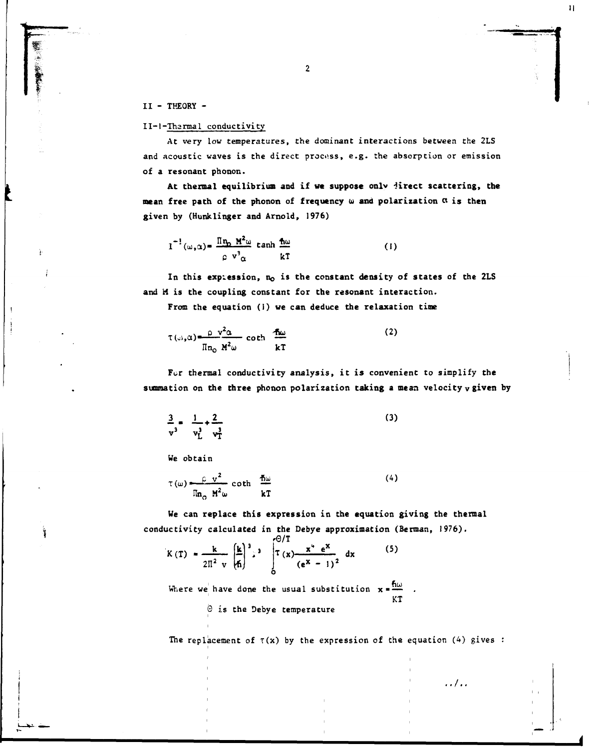**II - THEORY -**

ş.

#### **II-l-Tharmal conductivity**

At very low temperatures, the dominant interactions between the 2LS and acoustic waves is the direct process, e.g. the absorption or emission of a resonant phonon.

At thermal equilibrium and if we suppose only *direct* scattering, the mean free path of the phonon of frequency  $\omega$  and polarization  $\alpha$  is then **given by** (Hunk**linger and** Arnold, **1976)** 

$$
1^{-1}(\omega,\alpha) = \frac{\Pi \eta_0 \, M^2 \omega}{\rho \, v^3 \alpha} \tanh \frac{\hbar \omega}{kT}
$$
 (1)

In this expression, no is the constant density of states of the 2LS **and M is the coupling constant for the resonant interaction.** 

**From the equation (1) we can deduce the relaxation time** 

$$
\tau(\omega,\alpha) = \frac{\rho \ v^2 \alpha}{\Pi n_0 \ M^2 \omega} \quad \text{coth} \quad \frac{f \Delta \omega}{kT}
$$
 (2)

For thermal conductivity analysis, it is convenient to simplify the **summation on the three phonon polarization taking a mean velocity v given by** 

$$
\frac{3}{y^3} = \frac{1}{y_L^3} + \frac{2}{y_T^3}
$$
 (3)

**We obtain** 

$$
\tau(\omega) \frac{\rho v^2}{\Pi n_0 M^2 \omega} \coth \frac{\hbar \omega}{kT}
$$
 (4)

**We can replace this expression in the equation giving the thermal conductivity calculated in the Debye approximation (Berman, 1976).** 

$$
K(T) = \frac{k}{2\pi^2 v} \left(\frac{k}{f_1}\right)^3
$$

$$
\int_0^{Q/T} (x) \frac{x^4 e^x}{(e^x - 1)^2} dx
$$
(5)

Where we have done the usual substitution  $x = \frac{100}{100}$ KT 0 is the Debye temperature

The replacement of  $\tau(x)$  by the expression of the equation (4) gives :

• /. .

**Il**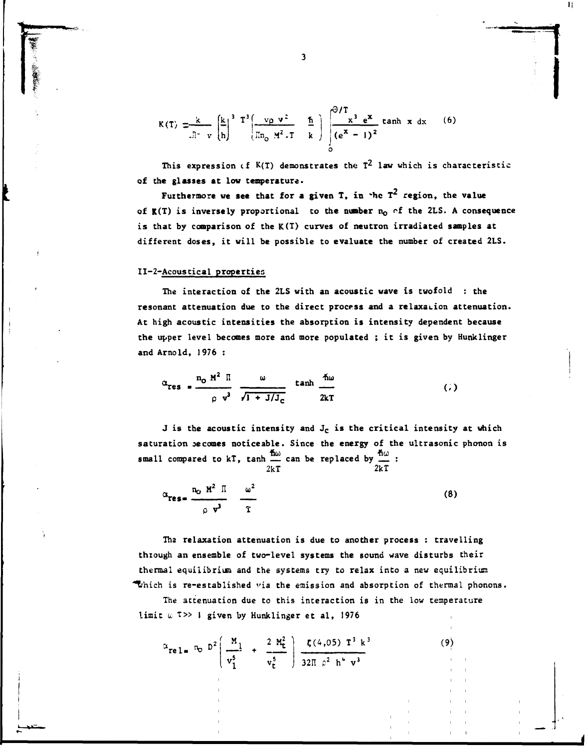$$
K(T) = \frac{k}{\ln^{-1} v} \left(\frac{k}{h}\right)^3 T^3 \left(\frac{v \rho v^2}{\ln_0 N^2 \cdot T} - \frac{\hbar}{k}\right) \int_0^{\Theta/T} \frac{x^3 e^x}{(e^x - 1)^2} \tanh x \, dx \qquad (6)
$$

This expression of  $K(T)$  demonstrates the  $T^2$  law which is characteristic of the glasses at low temperature.

Furthermore we see that for a given  $T$ , in the  $T^2$  region, the value **of K(T) is inversely proportional to the number no** *ft* **the 2LS. A consequence is that by comparison of the K(T) curves of neutron irradiated samples at different doses, it will be possible to evaluate the number of created 2LS.** 

#### **II-2-Acoustical properties**

**The interaction of the 2LS with an acoustic wave is twofold : the**  resonant attenuation due to the direct process and a relaxation attenuation. At high acoustic intensities the absorption is intensity dependent because **the upper level becomes more and more populated ; i t is given by Hunklinger and Arnold, 1976 :** 

$$
\alpha_{res} = \frac{n_0 M^2 \Pi}{\rho v^3} \frac{\omega}{\sqrt{1 + j/j_c}} \tanh \frac{n\omega}{2kT}
$$
 (1)

**J is the acoustic intensity and J<sup>c</sup> is the critical intensity at which saturation oe comes noticeable. Since the energy of the ultrasonic phonon is**  small compared to kT, tanh  $\frac{100}{100}$  can be replaced by  $\frac{100}{100}$  : **2kT 2kT** 

$$
\alpha_{\text{res}} = \frac{n_0 M^2 \Pi}{\rho v^3} \frac{\omega^2}{T}
$$
 (8)

**The relaxation attenuation is due to another process : travelling thtough an ensemble of two-level systems the sound wave disturbs their thermal equilibrium and the systems try to relax into a new equilibrium "t;hich is re-established via the emission and absorption of thermal phonons.** 

**The attenuation due to this interaction is in the low temperature limit** *u,* **T » 1 given by Hunklinger e t al, 1976** 

*(9)* 

 $\mathbf{H}$ 

$$
\alpha_{\text{rel}} = n_0 \, D^2 \left( \frac{M_1}{v_1^5} + \frac{2 M_t^2}{v_t^5} \right) \frac{\zeta(4,05) \, T^3 \, k^3}{32 \pi \, \rho^2 \, h^4 \, v^3}
$$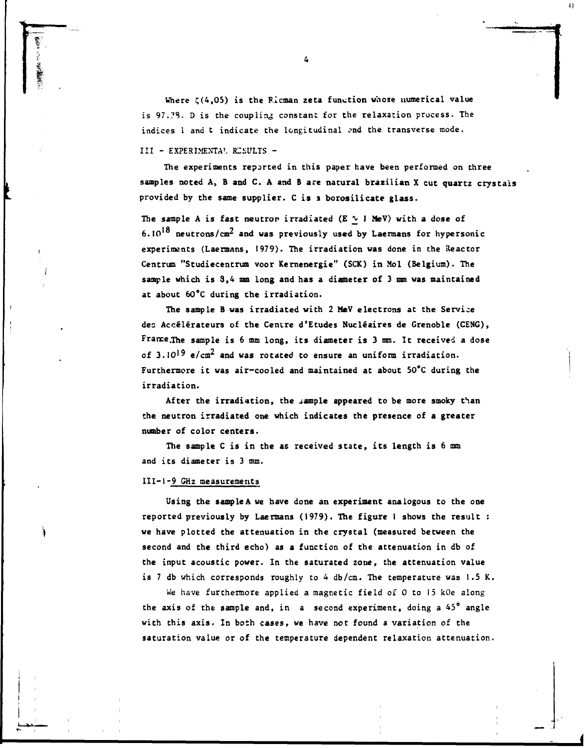**Where ç(4,05) is the Pieman zeta function whose uumerical value is 97.?8. D is the coupling constant for the relaxation process. The**  indices 1 and t indicate the longitudinal and the transverse mode.

**Ill - EXPERIMENTA'. ICiiULTS -**

**The experiments reported in this paper have been performed on three samples noted A, B and C. A and B are natural brazilian X cut quartz crystals provided by the same supplier. C is a borosilicate glass.** 

The sample A is fast neutron irradiated  $(E \sim 1$  MeV) with a dose of **6.10 neutrons/cm- and was previously used by Laermans for hypersonic experiments (Laermans, 1979). The irradiation was done in the Reactor Centrum "Studiecentnan voor Kernenergie" (SCK) in Mol (Belgium). The sample which is 3,4 mm long and has a diameter of 3 mm was maintained at about 60°C during the irradiation.** 

**The sample B was irradiated with 2 MeV electrons at the Service des Accélérateurs of the Centre d'Etudes Nucléaires de Grenoble (CENG), France .the sample is 6 mm long, its diameter is 3 mm. It received a dose**  of 3.10<sup>19</sup> e/cm<sup>2</sup> and was rotated to ensure an uniform irradiation. **Furthermore it was air-cooled and maintained at about 50°C during the irradiation.** 

**After the irradiation, the sample appeared to be more smoky than the neutron irradiated one which indicates the presence of a greater number of color centers.** 

**The sample C is in the as received state, its length is 6 mm and its diameter is 3 mm.** 

#### **Ill-1-9 GHz measurements**

**Using the sample A we have done an experiment analogous to the one reported previously by Laermans (1979). The figure 1 shows the result : we have plotted the attenuation in the crystal (measured between the second and the third echo) as a function of the attenuation in db of the input acoustic power. In the saturated zone, the attenuation value is 7 db which corresponds roughly to 4 db/cm. The temperature was 1.5 K.** 

**We have furthermore applied a magnetic field of 0 to 15 kOe along the axis of the sample and, in a second experiment, doing a 45<sup>s</sup> angle with this axis. In both cases, we have not found a variation of the saturation value or of the temperature dependent relaxation attenuation.**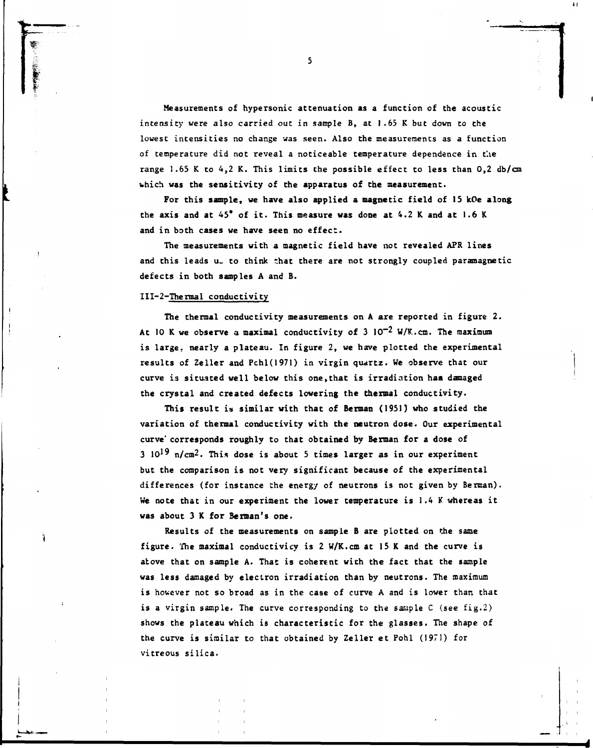**Measurements of hypersonic attenuation as a function of the acoustic intensity were also carried out in sample B, at 1.65 K but down to the**  lowest intensities no change was seen. Also the measurements as a function **of temperature did not reveal a noticeable temperature dependence in the**  range 1.65 K to 4,2 K. This limits the possible effect to less than 0,2 db/cm which was the sensitivity of the apparatus of the measurement.

For this sample, we have also applied a magnetic field of 15 kOe along **the axis and at 45° of it . This measure was done at 4.2 K and at 1.6 K and in both cases we have seen no effect.** 

The measurements with a magnetic field have not revealed APR lines and this leads u<sub>-</sub> to think that there are not strongly coupled paramagnetic **defects in both samples A and B.** 

#### **III-2-Thermal conductivity**

**The thermal conductivity measurements on A are reported in figure 2. At 10 K we observe a maximal conductivity of 3 10"2 W/K.cm. The maximum is large, nearly a plateau. In figure 2, we have plotted the experimental results of Zeller and Pchl(I971) in virgin quartz. We observe that our curve is situated well below this one,that is irradiation haa damaged the crystal and created defects lowering the thermal conductivity.** 

**This result i» similar with that of Berman (1951) who studied the variation of thermal conductivity with the neutron dose. Our experimental curve' corresponds roughly to that obtained by Berman for a dose of 3 lO<sup>1</sup> ^ n/cm2. This dose is about 5 times larger as in our experiment but the comparison is not very significant because of the experimental differences (for instance the energy of neutrons is not given by Berman).**  We note that in our experiment the lower temperature is 1.4 K whereas it **was about 3 K for Be man's one.** 

**Results of the measurements on sample B are plotted on the same figure. The maximal conductivicy is 2 W/K.cm at 15 K and the curve is above that on sample A. That is coherent with the fact that the sample was less damaged by electron irradiation than by neutrons. The maximum is however not so broad as in the case of curve A and is lower than that is a virgin sample. The curve corresponding to the sample C (see fig.2)**  shows the plateau which is characteristic for the glasses. The shape of the curve is similar to that obtained by Zeller et Pohl (1971) for vitreous silica.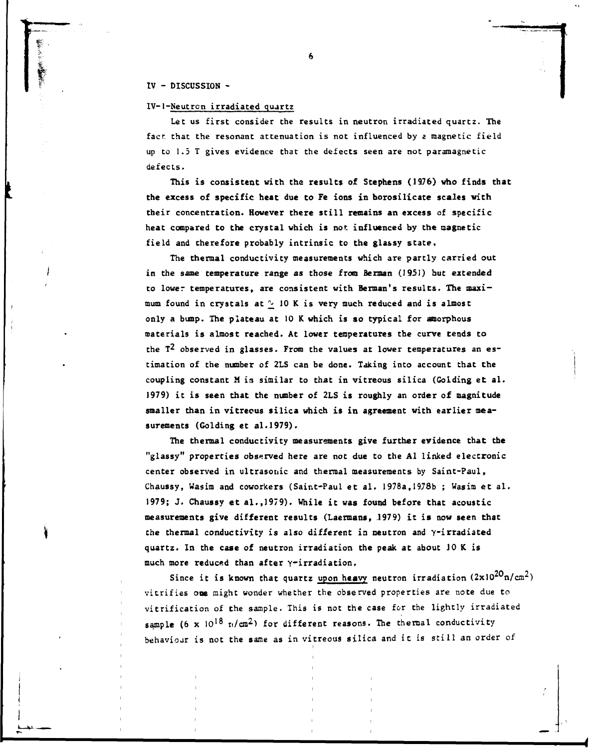**IV - DISCUSSION -**

#### **IV-1-Neutron irradiated quartz**

**Let us first consider the results in neutron irradiated quartz. The fact that the resonant attenuation is not influenced by a magnetic field up to 1.5 T gives evidence that the defects seen are not paramagnetic defects.** 

**This is consistent with the results of Stephens (1976) who finds that**  the excess of specific heat due to Fe ions in horosilicate scales with **their concentration. However there still remains an excess of specifi c heat compared to the crystal which is not influenced by the magnetic**  field and therefore probably intrinsic to the glassy state.

**The thermal conductivity measurements which are partly carried out in the same temperature range as those from Berman (1951) but extended to lower temperatures, are consistent with Berman's results. The maximum found in crystals at** *^* **JO K is very much reduced and i s almost only a bump. The plateau at 10 K which is so typical for amorphous materials is almost reached. At lower temperatures the curve tends to the T^ observed in glasses. From the values at lower temperatures an estimation of the number of 2LS can be done. Taking into account that the**  coupling constant M is similar to that in vitreous silica (Golding et al. **1979) i t is seen that the number of 2LS is roughly an order of magnitude**  smaller than in vitreous silica which is in agreement with earlier mea**surements (Golding et al.1979).** 

**The thermal conductivity measurements give further evidence that the "glassy" properties observed here are not due to the Al linked electroni c center observed in ultrasonic and thermal measurements by Saint-Paul,**  Chaussy, Wasim and coworkers (Saint-Paul et al. 1978a,1978b ; Wasim et al. **1979; J. Chaussy e t al.,1979). While i t was found before that acoustic measurements give different results (Laermans, J979) i t is now seen that the thermal conductivity is also different in neutron and y-irradiated quartz. In the case of neutron irradiation the peak at about JO K is**  much more reduced than after *y-irradiation*.

Since it is known that quartz upon heavy neutron irradiation  $(2x10^{20}n/cm^2)$ **vitrifie s one might wonder whether the observed properties are note due to vitrificatio n of the sample. This is not the case for the lightly irradiated**  sample (6 x  $10^{18}$   $\text{r}_{1}/\text{cm}^2$ ) for different reasons. The thermal conductivity behaviour is not the same as in vitreous silica and it is still an order of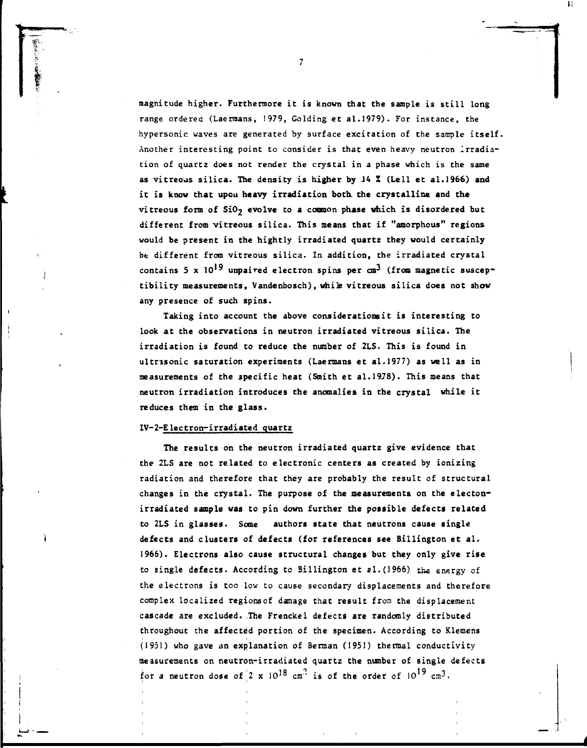**magnitude higher. Furthermore it is known that the sample is still long range ordered (Laermans, 1979, Golding et al.1979). For instance, the hypersonic waves are generated by surface excitation of the sample itself.**  Another interesting point to consider is that even heavy neutron irradia**tion of quartz does not render the crystal in a phase which is the same as vitreous silica. The density is higher by J4 Z (Le11 et al.1966) and**  it is know that upou heavy irradiation both the crystalline and the vitreous form of SiO<sub>2</sub> evolve to a common phase which is disordered but **different from vitreous silica. This means that if "amorphous" regions would be present in the hightly irradiated quartz they would certainly be different from vitreous silica. In addition, the irradiated crystal**  contains 5 x 10<sup>19</sup> unpaired electron spins per cm<sup>3</sup> (from magnetic suscep**tibility measurements, Vandenbosch), while vitreous silica does not show any presence of such spins.** 

**Taking into account the above considerations it is interesting to look at the observations in neutron irradiated vitreous silica. The irradiation is found to reduce the number of 2LS. This is found in ultrasonic saturation experiments (Laermans et al.1977) as well as in measurements of the specific heat (Smith et al.1978). This means that neutron irradiation introduces the anomalies in the crystal while it reduces them in the glass.** 

# **IV-2-Electron-irradiated quartz**

**The results on the neutron irradiated quartz give evidence that the 2LS are not related to electronic centers as created by ionizing radiation and therefore that they are probably the result of structural changes in the crystal. The purpose of the measurements on the electonirradiated sample was to pin down further the possible defects related to 2LS in glasses. Some authors state that neutrons cause single defects and clusters of defects (for references see Billington et al. 1966). Electrons also cause structural changes but they only give rise to single defects. According to Billington et si.(1966) the energy of the electrons is too low to cause secondary displacements and therefore complex localized regions of damage that result from the displacement cascade are excluded. The Frenckel defects are randomly distributed throughout the affected portion of the specimen. According to Klemens (1951) who gave an explanation of Berman (1951) thermal conductivity measurements on neutron-irradiated quartz the number of single defects**  for a neutron dose of  $2 \times 10^{18}$  cm<sup>2</sup> is of the order of  $10^{19}$  cm<sup>3</sup>.

 $\overline{\phantom{a}}$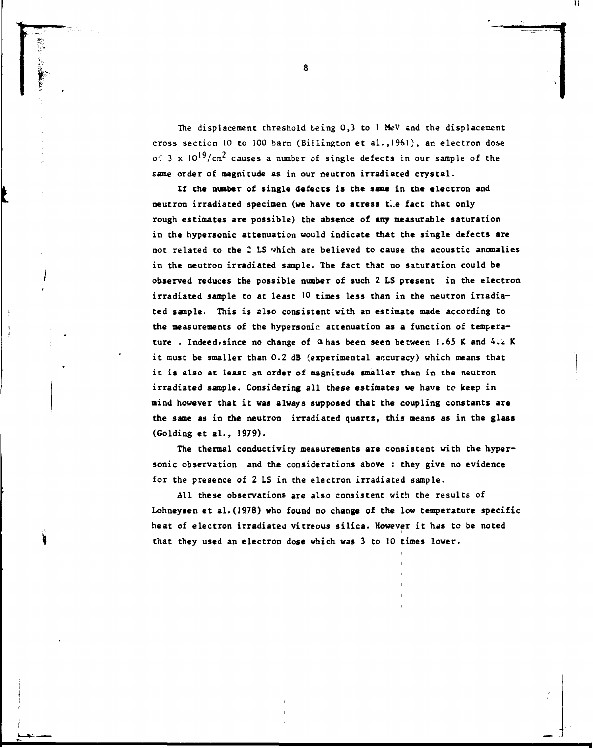**The displacement threshold being 0,3 to 1 MeV and the displacement cross section 10 to 100 barn (Billington et al.,196I), an electron dose**   $\sigma$ <sup>2</sup> 3 x  $10^{19}/\text{cm}^2$  causes a number of single defects in our sample of the **same order of magnitude as in our neutron irradiated crystal.** 

**If the number of single defects is the same in the electron and neutron irradiated specimen (we have to stress t.e fact that only rough estimates are possible) the absence of any measurable saturation in the hypersonic attenuation would indicate that the single defects are not related to the 2 LS which are believed to cause the acoustic anomalies in the neutron irradiated sample. The fact that no saturation could be observed reduces the possible number of such 2 LS present in the electron irradiated sample to at least 10 times less than in the neutron irradiated sample. This is also consistent with an estimate made according to the measurements of the hypersonic, attenuation as a function of tempera**ture . Indeed, since no change of  $\alpha$  has been seen between 1.65 K and 4.2 K **it must be smaller than 0.2 dB (experimental accuracy) which means that it is also at least an order of magnitude smaller than in the neutron irradiated sample. Considering all these estimates we have to keep in mind however that it was always supposed that the coupling constants are the same as in the neutron irradiated quartz, this means as in the glass (Golding et al., 1979).** 

**The thermal conductivity measurements are consistent with the hypersonic observation and the considerations above : they give no evidence for the presence of 2 LS in the electron irradiated sample.** 

**All these observations are also consistent with the results of Lohneysen et al.(1978) who found no change of the low temperature specific heat of electron irradiated vitreous silica. However it has to be noted that they used an electron dose which was 3 to 10 times lower.**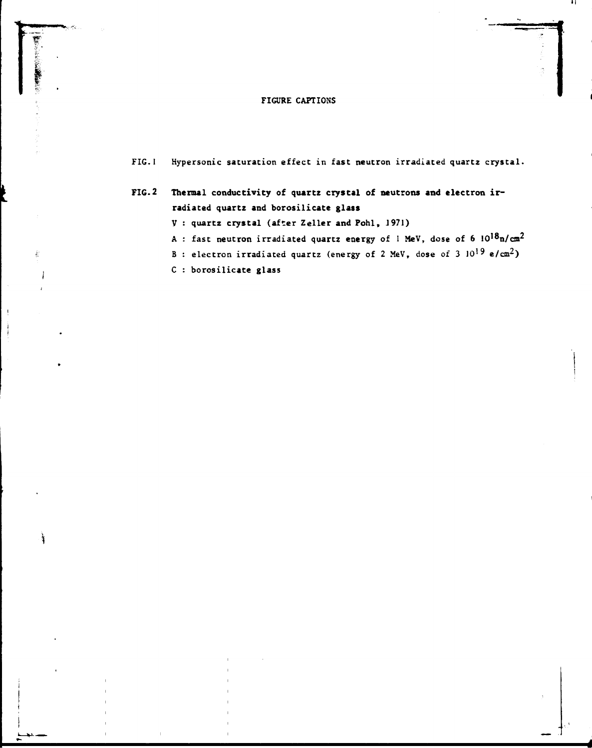# FIGURE CAFTIONS

(の) 小学

Á

ì

| FIG. 2 | Thermal conductivity of quartz crystal of neutrons and electron ir-                             |
|--------|-------------------------------------------------------------------------------------------------|
|        | radiated quartz and borosilicate glass                                                          |
|        | V: quartz crystal (after Zeller and Pohl, 1971)                                                 |
|        | A: fast neutron irradiated quartz energy of I MeV, dose of 6 10 <sup>18</sup> n/cm <sup>2</sup> |
|        | B : electron irradiated quartz (energy of 2 MeV, dose of 3 10 <sup>19</sup> e/cm <sup>2</sup> ) |
|        | C : borosilicate glass                                                                          |
|        |                                                                                                 |
|        |                                                                                                 |

.,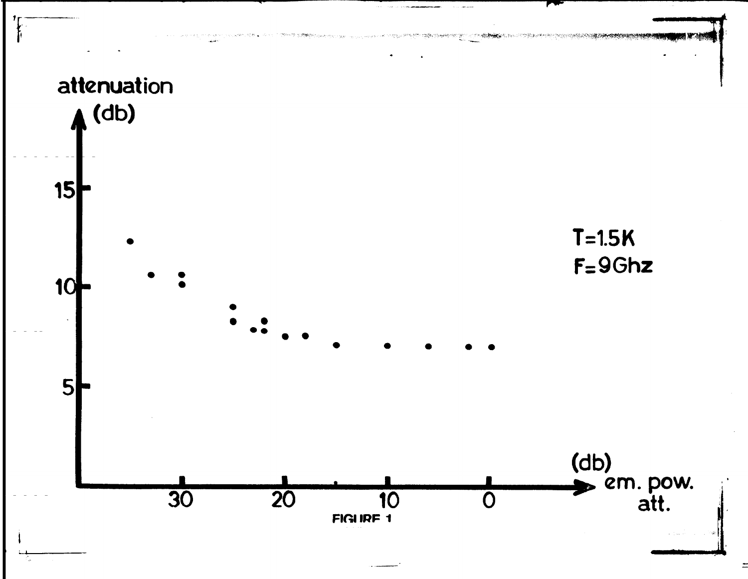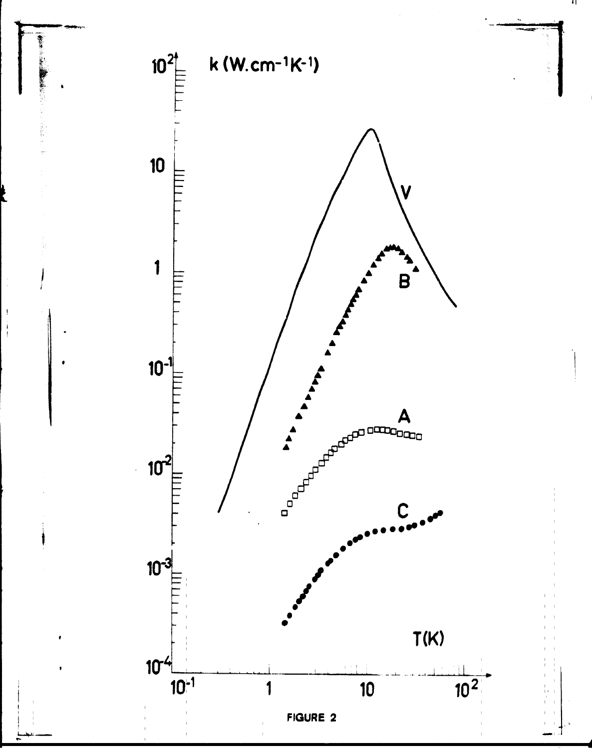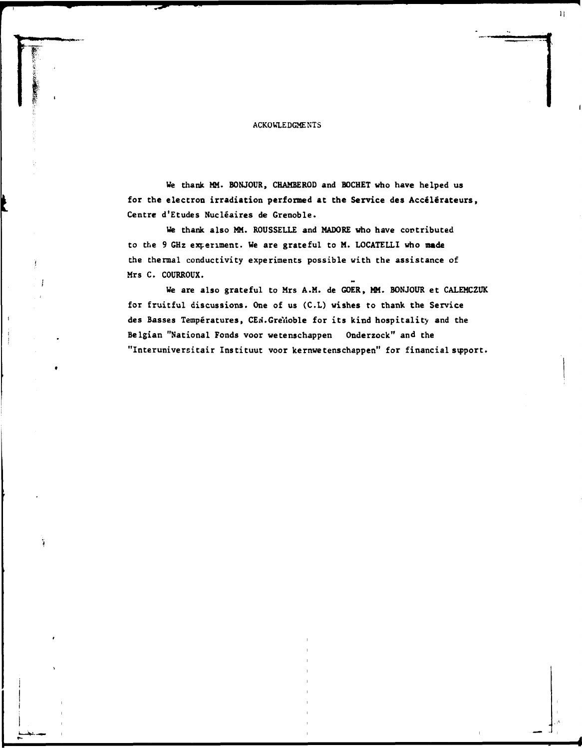## **ACKOWLEDGMENTS**

 $\overline{1}$ 

**We thank MM. BONJOUR, CHAMBEROD and BOCHET who have helped us for the electron irradiation performed at the Service des Accélérateurs, Centre d'Etudes Nucléaires de Grenoble.** 

**We thank also MM. ROUSSELLE and MADORE who have contributed to the 9 GHz experiment. We are grateful to M. LOCATELLI who made the thermal conductivity experiments possible with the assistance of Mrs C. COURROUX.** 

ÿ

**We are also grateful to Mrs A.M. de GOER, MM. BONJOUR et CALEMCZUK for fruitful discussions. One of us (C.L) wishes to thank the Service**  des Basses Températures, CEN.Grenoble for its kind hospitality and the **Belgian "National Fonds voor wetenschappen Onderzock" and the "Interuniversitair Instituut voor kernwetenschappen" for financial support.**